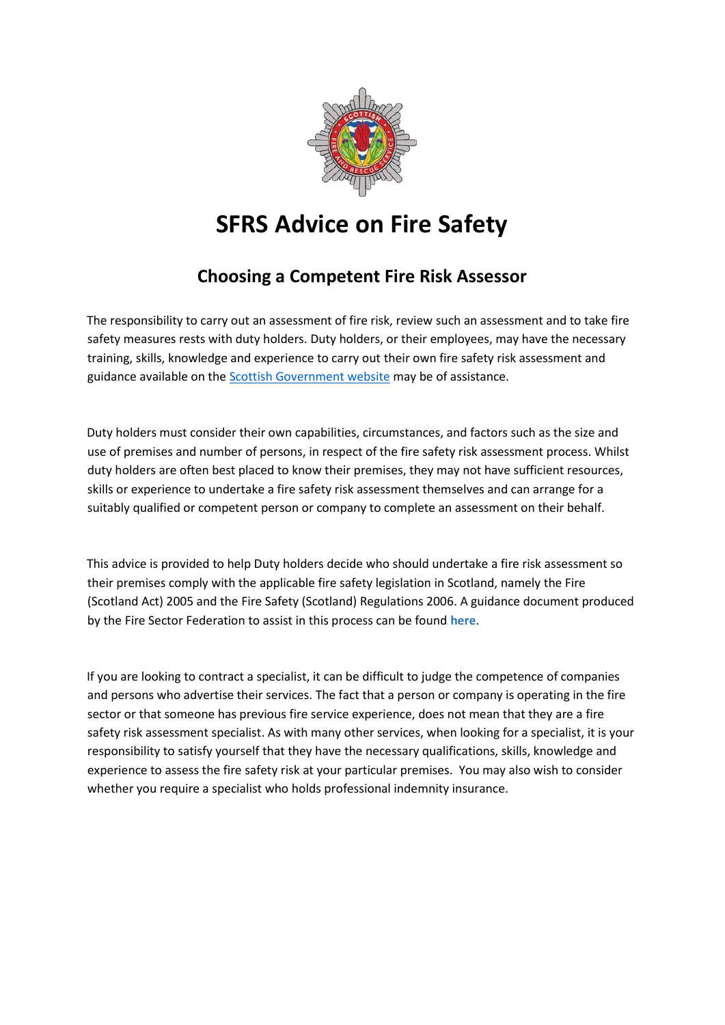

## **SFRS Advice on Fire Safety**

## **Choosing a Competent Fire Risk Assessor**

The responsibility to carry out an assessment of fire risk, review such an assessment and to take fire safety measures rests with duty holders. Duty holders, or their employees, may have the necessary training, skills, knowledge and experience to carry out their own fire safety risk assessment and guidance available on the [Scottish Government website](http://www.gov.scot/Topics/Justice/policies/police-fire-rescue/fire/FireLaw) may be of assistance.

Duty holders must consider their own capabilities, circumstances, and factors such as the size and use of premises and number of persons, in respect of the fire safety risk assessment process. Whilst duty holders are often best placed to know their premises, they may not have sufficient resources, skills or experience to undertake a fire safety risk assessment themselves and can arrange for a suitably qualified or competent person or company to complete an assessment on their behalf.

This advice is provided to help Duty holders decide who should undertake a fire risk assessment so their premises comply with the applicable fire safety legislation in Scotland, namely the Fire (Scotland Act) 2005 and the Fire Safety (Scotland) Regulations 2006. A guidance document produced by the Fire Sector Federation to assist in this process can be found **[here](https://www.nationalfirechiefs.org.uk/write/MediaUploads/Grenfell/FSF_Guide_October_20.pdf)**.

If you are looking to contract a specialist, it can be difficult to judge the competence of companies and persons who advertise their services. The fact that a person or company is operating in the fire sector or that someone has previous fire service experience, does not mean that they are a fire safety risk assessment specialist. As with many other services, when looking for a specialist, it is your responsibility to satisfy yourself that they have the necessary qualifications, skills, knowledge and experience to assess the fire safety risk at your particular premises. You may also wish to consider whether you require a specialist who holds professional indemnity insurance.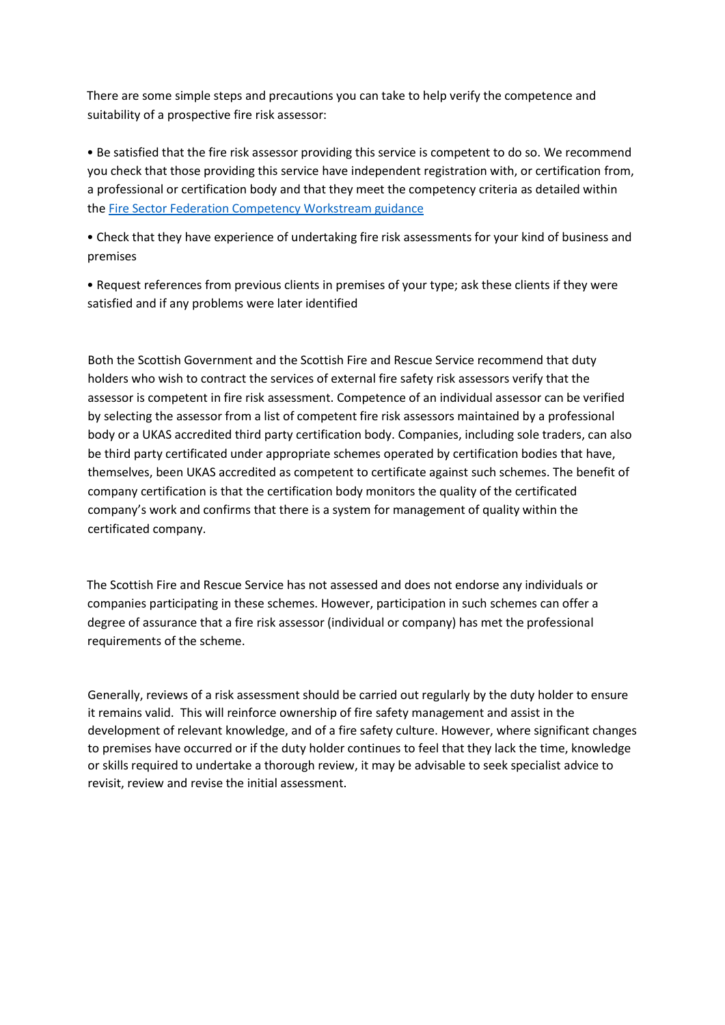There are some simple steps and precautions you can take to help verify the competence and suitability of a prospective fire risk assessor:

• Be satisfied that the fire risk assessor providing this service is competent to do so. We recommend you check that those providing this service have independent registration with, or certification from, a professional or certification body and that they meet the competency criteria as detailed within the [Fire Sector Federation Competency Workstream](https://www.nationalfirechiefs.org.uk/write/MediaUploads/Grenfell/FSF_Guide_October_20.pdf) guidance

• Check that they have experience of undertaking fire risk assessments for your kind of business and premises

• Request references from previous clients in premises of your type; ask these clients if they were satisfied and if any problems were later identified

Both the Scottish Government and the Scottish Fire and Rescue Service recommend that duty holders who wish to contract the services of external fire safety risk assessors verify that the assessor is competent in fire risk assessment. Competence of an individual assessor can be verified by selecting the assessor from a list of competent fire risk assessors maintained by a professional body or a UKAS accredited third party certification body. Companies, including sole traders, can also be third party certificated under appropriate schemes operated by certification bodies that have, themselves, been UKAS accredited as competent to certificate against such schemes. The benefit of company certification is that the certification body monitors the quality of the certificated company's work and confirms that there is a system for management of quality within the certificated company.

The Scottish Fire and Rescue Service has not assessed and does not endorse any individuals or companies participating in these schemes. However, participation in such schemes can offer a degree of assurance that a fire risk assessor (individual or company) has met the professional requirements of the scheme.

Generally, reviews of a risk assessment should be carried out regularly by the duty holder to ensure it remains valid. This will reinforce ownership of fire safety management and assist in the development of relevant knowledge, and of a fire safety culture. However, where significant changes to premises have occurred or if the duty holder continues to feel that they lack the time, knowledge or skills required to undertake a thorough review, it may be advisable to seek specialist advice to revisit, review and revise the initial assessment.